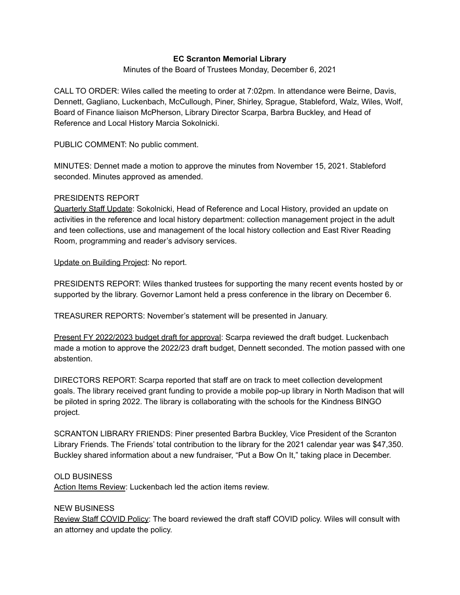# **EC Scranton Memorial Library**

## Minutes of the Board of Trustees Monday, December 6, 2021

CALL TO ORDER: Wiles called the meeting to order at 7:02pm. In attendance were Beirne, Davis, Dennett, Gagliano, Luckenbach, McCullough, Piner, Shirley, Sprague, Stableford, Walz, Wiles, Wolf, Board of Finance liaison McPherson, Library Director Scarpa, Barbra Buckley, and Head of Reference and Local History Marcia Sokolnicki.

PUBLIC COMMENT: No public comment.

MINUTES: Dennet made a motion to approve the minutes from November 15, 2021. Stableford seconded. Minutes approved as amended.

## PRESIDENTS REPORT

Quarterly Staff Update: Sokolnicki, Head of Reference and Local History, provided an update on activities in the reference and local history department: collection management project in the adult and teen collections, use and management of the local history collection and East River Reading Room, programming and reader's advisory services.

Update on Building Project: No report.

PRESIDENTS REPORT: Wiles thanked trustees for supporting the many recent events hosted by or supported by the library. Governor Lamont held a press conference in the library on December 6.

TREASURER REPORTS: November's statement will be presented in January.

Present FY 2022/2023 budget draft for approval: Scarpa reviewed the draft budget. Luckenbach made a motion to approve the 2022/23 draft budget, Dennett seconded. The motion passed with one abstention.

DIRECTORS REPORT: Scarpa reported that staff are on track to meet collection development goals. The library received grant funding to provide a mobile pop-up library in North Madison that will be piloted in spring 2022. The library is collaborating with the schools for the Kindness BINGO project.

SCRANTON LIBRARY FRIENDS: Piner presented Barbra Buckley, Vice President of the Scranton Library Friends. The Friends' total contribution to the library for the 2021 calendar year was \$47,350. Buckley shared information about a new fundraiser, "Put a Bow On It," taking place in December.

## OLD BUSINESS

Action Items Review: Luckenbach led the action items review.

## NEW BUSINESS

Review Staff COVID Policy: The board reviewed the draft staff COVID policy. Wiles will consult with an attorney and update the policy.